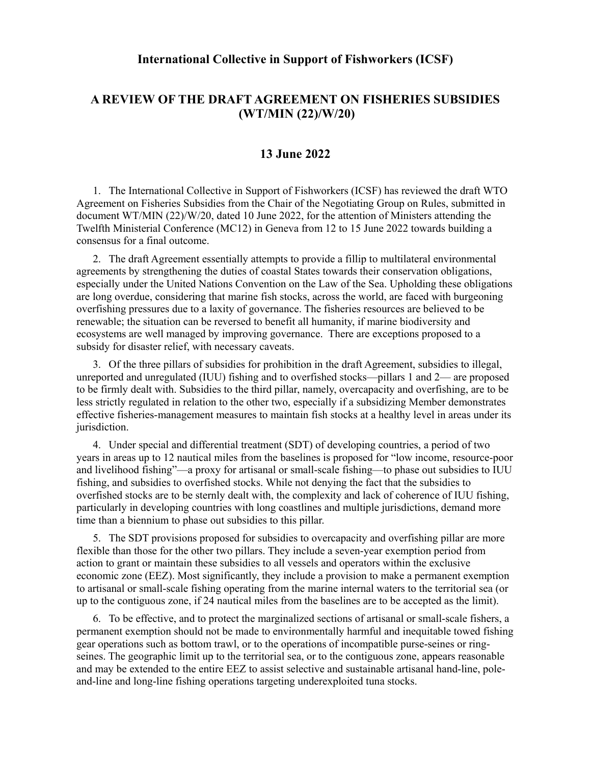## **International Collective in Support of Fishworkers (ICSF)**

## **A REVIEW OF THE DRAFT AGREEMENT ON FISHERIES SUBSIDIES (WT/MIN (22)/W/20)**

## **13 June 2022**

1. The International Collective in Support of Fishworkers (ICSF) has reviewed the draft WTO Agreement on Fisheries Subsidies from the Chair of the Negotiating Group on Rules, submitted in document WT/MIN (22)/W/20, dated 10 June 2022, for the attention of Ministers attending the Twelfth Ministerial Conference (MC12) in Geneva from 12 to 15 June 2022 towards building a consensus for a final outcome.

2. The draft Agreement essentially attempts to provide a fillip to multilateral environmental agreements by strengthening the duties of coastal States towards their conservation obligations, especially under the United Nations Convention on the Law of the Sea. Upholding these obligations are long overdue, considering that marine fish stocks, across the world, are faced with burgeoning overfishing pressures due to a laxity of governance. The fisheries resources are believed to be renewable; the situation can be reversed to benefit all humanity, if marine biodiversity and ecosystems are well managed by improving governance. There are exceptions proposed to a subsidy for disaster relief, with necessary caveats.

3. Of the three pillars of subsidies for prohibition in the draft Agreement, subsidies to illegal, unreported and unregulated (IUU) fishing and to overfished stocks—pillars 1 and 2— are proposed to be firmly dealt with. Subsidies to the third pillar, namely, overcapacity and overfishing, are to be less strictly regulated in relation to the other two, especially if a subsidizing Member demonstrates effective fisheries-management measures to maintain fish stocks at a healthy level in areas under its jurisdiction.

4. Under special and differential treatment (SDT) of developing countries, a period of two years in areas up to 12 nautical miles from the baselines is proposed for "low income, resource-poor and livelihood fishing"—a proxy for artisanal or small-scale fishing—to phase out subsidies to IUU fishing, and subsidies to overfished stocks. While not denying the fact that the subsidies to overfished stocks are to be sternly dealt with, the complexity and lack of coherence of IUU fishing, particularly in developing countries with long coastlines and multiple jurisdictions, demand more time than a biennium to phase out subsidies to this pillar.

5. The SDT provisions proposed for subsidies to overcapacity and overfishing pillar are more flexible than those for the other two pillars. They include a seven-year exemption period from action to grant or maintain these subsidies to all vessels and operators within the exclusive economic zone (EEZ). Most significantly, they include a provision to make a permanent exemption to artisanal or small-scale fishing operating from the marine internal waters to the territorial sea (or up to the contiguous zone, if 24 nautical miles from the baselines are to be accepted as the limit).

6. To be effective, and to protect the marginalized sections of artisanal or small-scale fishers, a permanent exemption should not be made to environmentally harmful and inequitable towed fishing gear operations such as bottom trawl, or to the operations of incompatible purse-seines or ringseines. The geographic limit up to the territorial sea, or to the contiguous zone, appears reasonable and may be extended to the entire EEZ to assist selective and sustainable artisanal hand-line, poleand-line and long-line fishing operations targeting underexploited tuna stocks.